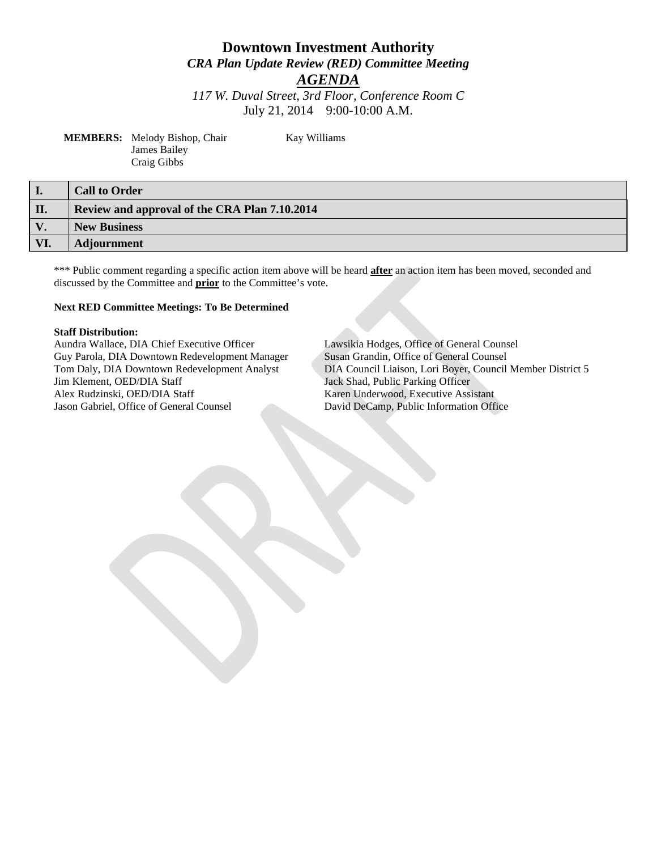# **Downtown Investment Authority** *CRA Plan Update Review (RED) Committee Meeting*

*AGENDA*

*117 W. Duval Street, 3rd Floor, Conference Room C* July 21, 2014 9:00-10:00 A.M.

**Kay Williams** 

| <b>MEMBERS:</b> Melody Bishop, Chair |  |
|--------------------------------------|--|
| James Bailey                         |  |
| Craig Gibbs                          |  |

**I. Call to Order II. Review and approval of the CRA Plan 7.10.2014 V. New Business VI. Adjournment** 

\*\*\* Public comment regarding a specific action item above will be heard **after** an action item has been moved, seconded and discussed by the Committee and **prior** to the Committee's vote.

#### **Next RED Committee Meetings: To Be Determined**

**Staff Distribution:** Guy Parola, DIA Downtown Redevelopment Manager Susan Grandin, Office of General Counsel Jim Klement, OED/DIA Staff Jack Shad, Public Parking Officer Alex Rudzinski, OED/DIA Staff Karen Underwood, Executive Assistant Jason Gabriel, Office of General Counsel David DeCamp, Public Information Office

Lawsikia Hodges, Office of General Counsel Tom Daly, DIA Downtown Redevelopment Analyst DIA Council Liaison, Lori Boyer, Council Member District 5